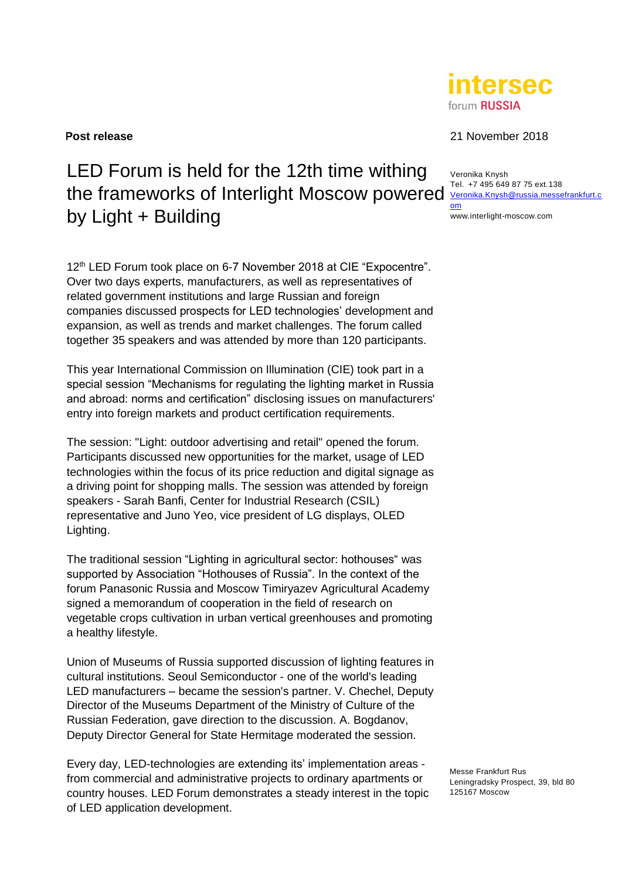# LED Forum is held for the 12th time withing the frameworks of Interlight Moscow powered [Veronika.Knysh@russia.messefrankfurt.c](mailto:Veronika.Knysh@russia.messefrankfurt.com) by Light + Building

12<sup>th</sup> LED Forum took place on 6-7 November 2018 at CIE "Expocentre". Over two days experts, manufacturers, as well as representatives of related government institutions and large Russian and foreign companies discussed prospects for LED technologies' development and expansion, as well as trends and market challenges. The forum called together 35 speakers and was attended by more than 120 participants.

This year International Commission on Illumination (CIE) took part in a special session "Mechanisms for regulating the lighting market in Russia and abroad: norms and certification" disclosing issues on manufacturers' entry into foreign markets and product certification requirements.

The session: "Light: outdoor advertising and retail" opened the forum. Participants discussed new opportunities for the market, usage of LED technologies within the focus of its price reduction and digital signage as a driving point for shopping malls. The session was attended by foreign speakers - Sarah Banfi, Center for Industrial Research (CSIL) representative and Juno Yeo, vice president of LG displays, OLED Lighting.

The traditional session "Lighting in agricultural sector: hothouses" was supported by Association "Hothouses of Russia". In the context of the forum Panasonic Russia and Moscow Timiryazev Agricultural Academy signed a memorandum of cooperation in the field of research on vegetable crops cultivation in urban vertical greenhouses and promoting a healthy lifestyle.

Union of Museums of Russia supported discussion of lighting features in cultural institutions. Seoul Semiconductor - one of the world's leading LED manufacturers – became the session's partner. V. Chechel, Deputy Director of the Museums Department of the Ministry of Culture of the Russian Federation, gave direction to the discussion. A. Bogdanov, Deputy Director General for State Hermitage moderated the session.

Every day, LED-technologies are extending its' implementation areas from commercial and administrative projects to ordinary apartments or country houses. LED Forum demonstrates a steady interest in the topic of LED application development.

**Post release** 21 November 2018

Veronika Knysh Tel. +7 495 649 87 75 ext.138 [om](mailto:Veronika.Knysh@russia.messefrankfurt.com) www.interlight-moscow.com

Messe Frankfurt Rus Leningradsky Prospect, 39, bld 80 125167 Moscow